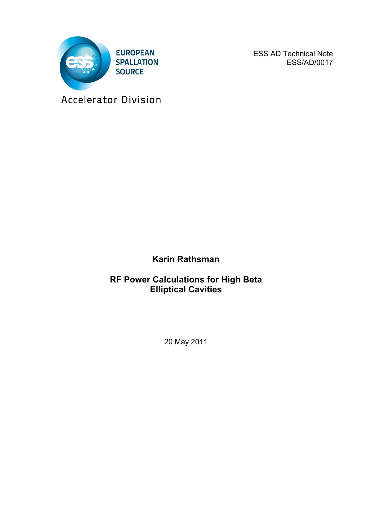

ESS AD Technical Note ESS/AD/0017

Accelerator Division

**Karin Rathsman**

**RF Power Calculations for High Beta Elliptical Cavities**

20 May 2011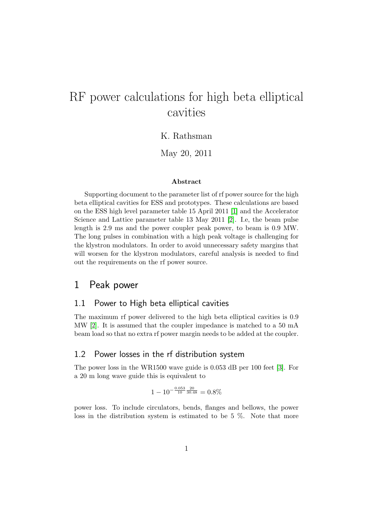# RF power calculations for high beta elliptical cavities

#### K. Rathsman

#### May 20, 2011

#### Abstract

Supporting document to the parameter list of rf power source for the high beta elliptical cavities for ESS and prototypes. These calculations are based on the ESS high level parameter table 15 April 2011 [\[1\]](#page-4-0) and the Accelerator Science and Lattice parameter table 13 May 2011 [\[2\]](#page-4-1). I.e, the beam pulse length is 2.9 ms and the power coupler peak power, to beam is 0.9 MW. The long pulses in combination with a high peak voltage is challenging for the klystron modulators. In order to avoid unnecessary safety margins that will worsen for the klystron modulators, careful analysis is needed to find out the requirements on the rf power source.

### 1 Peak power

#### 1.1 Power to High beta elliptical cavities

The maximum rf power delivered to the high beta elliptical cavities is 0.9 MW [\[2\]](#page-4-1). It is assumed that the coupler impedance is matched to a 50 mA beam load so that no extra rf power margin needs to be added at the coupler.

#### 1.2 Power losses in the rf distribution system

The power loss in the WR1500 wave guide is 0.053 dB per 100 feet [\[3\]](#page-4-2). For a 20 m long wave guide this is equivalent to

$$
1 - 10^{-\frac{0.053}{10} \frac{20}{30.48}} = 0.8\%
$$

power loss. To include circulators, bends, flanges and bellows, the power loss in the distribution system is estimated to be 5 %. Note that more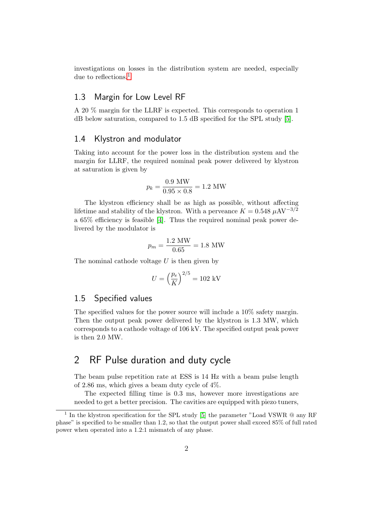investigations on losses in the distribution system are needed, especially due to reflections.<sup>[1](#page-2-0)</sup>

#### 1.3 Margin for Low Level RF

A 20 % margin for the LLRF is expected. This corresponds to operation 1 dB below saturation, compared to 1.5 dB specified for the SPL study [\[5\]](#page-4-3).

#### 1.4 Klystron and modulator

Taking into account for the power loss in the distribution system and the margin for LLRF, the required nominal peak power delivered by klystron at saturation is given by

$$
p_k = \frac{0.9 \text{ MW}}{0.95 \times 0.8} = 1.2 \text{ MW}
$$

The klystron efficiency shall be as high as possible, without affecting lifetime and stability of the klystron. With a perveance  $K = 0.548 \mu A V^{-3/2}$ a 65% efficiency is feasible [\[4\]](#page-4-4). Thus the required nominal peak power delivered by the modulator is

$$
p_m = \frac{1.2 \text{ MW}}{0.65} = 1.8 \text{ MW}
$$

The nominal cathode voltage *U* is then given by

$$
U = \left(\frac{p_e}{K}\right)^{2/5} = 102 \text{ kV}
$$

#### 1.5 Specified values

The specified values for the power source will include a 10% safety margin. Then the output peak power delivered by the klystron is 1.3 MW, which corresponds to a cathode voltage of 106 kV. The specified output peak power is then 2.0 MW.

## 2 RF Pulse duration and duty cycle

The beam pulse repetition rate at ESS is 14 Hz with a beam pulse length of 2*.*86 ms, which gives a beam duty cycle of 4%.

The expected filling time is 0.3 ms, however more investigations are needed to get a better precision. The cavities are equipped with piezo tuners,

<span id="page-2-0"></span><sup>&</sup>lt;sup>1</sup> In the klystron specification for the SPL study [\[5\]](#page-4-3) the parameter "Load VSWR  $\textcircled{a}$  any RF phase" is specified to be smaller than 1.2, so that the output power shall exceed 85% of full rated power when operated into a 1.2:1 mismatch of any phase.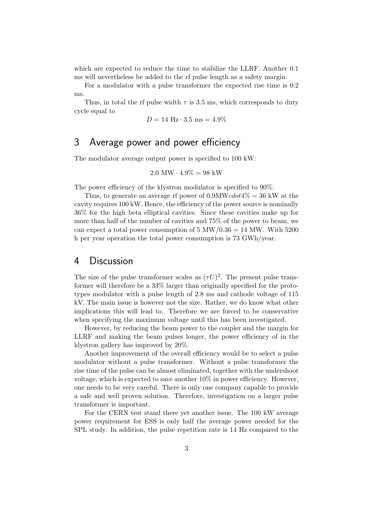which are expected to reduce the time to stabilize the LLRF. Another 0.1 ms will nevertheless be added to the rf pulse length as a safety margin.

For a modulator with a pulse transformer the expected rise time is 0.2 ms.

Thus, in total the rf pulse width  $\tau$  is 3.5 ms, which corresponds to duty cycle equal to

$$
D = 14 \text{ Hz} \cdot 3.5 \text{ ms} = 4.9\%
$$

## 3 Average power and power efficiency

The modulator average output power is specified to 100 kW:

$$
2.0 \text{ MW} \cdot 4.9\% = 98 \text{ kW}
$$

The power efficiency of the klystron modulator is specified to 90%.

Thus, to generate an average rf power of 0*.*9MW*cdot*4% = 36 kW at the cavity requires 100 kW. Hence, the efficiency of the power source is nominally 36% for the high beta elliptical cavities. Since these cavities make up for more than half of the number of cavities and 75% of the power to beam, we can expect a total power consumption of 5 MW*/*0*.*36 = 14 MW. With 5200 h per year operation the total power consumption is 73 GWh/year.

#### 4 Discussion

The size of the pulse transformer scales as  $(\tau U)^2$ . The present pulse transformer will therefore be a 33% larger than originally specified for the prototypes modulator with a pulse length of 2.8 ms and cathode voltage of 115 kV. The main issue is however not the size. Rather, we do know what other implications this will lead to. Therefore we are forced to be conservative when specifying the maximum voltage until this has been investigated.

However, by reducing the beam power to the coupler and the margin for LLRF and making the beam pulses longer, the power efficiency of in the klystron gallery has improved by 20%.

Another improvement of the overall efficiency would be to select a pulse modulator without a pulse transformer. Without a pulse transformer the rise time of the pulse can be almost eliminated, together with the undershoot voltage, which is expected to save another  $10\%$  in power efficiency. However, one needs to be very careful. There is only one company capable to provide a safe and well proven solution. Therefore, investigation on a larger pulse transformer is important.

For the CERN test stand there yet another issue. The 100 kW average power requirement for ESS is only half the average power needed for the SPL study. In addition, the pulse repetition rate is 14 Hz compared to the